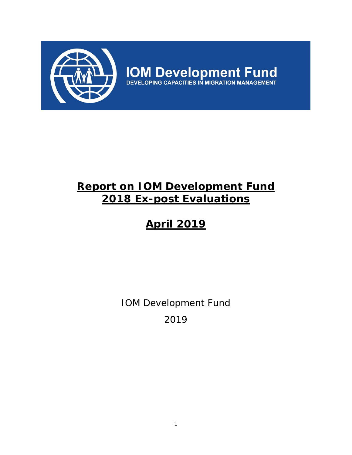

**IOM Development Fund**<br>DEVELOPING CAPACITIES IN MIGRATION MANAGEMENT

# **Report on IOM Development Fund 2018 Ex-post Evaluations**

# **April 2019**

IOM Development Fund 2019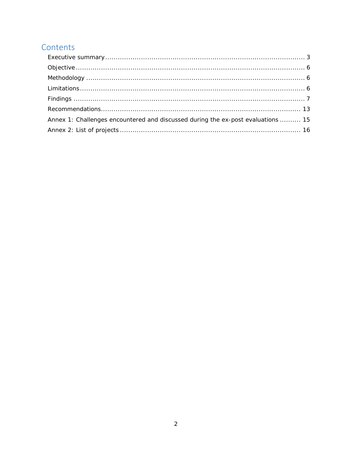## Contents

| Annex 1: Challenges encountered and discussed during the ex-post evaluations  15 |  |
|----------------------------------------------------------------------------------|--|
|                                                                                  |  |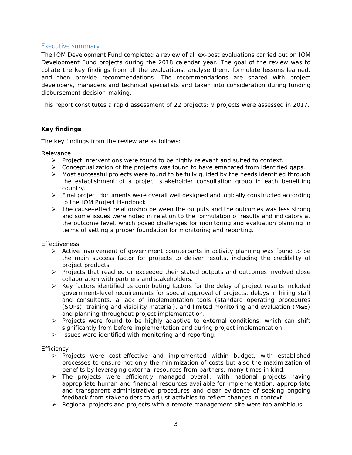## Executive summary

The IOM Development Fund completed a review of all ex-post evaluations carried out on IOM Development Fund projects during the 2018 calendar year. The goal of the review was to collate the key findings from all the evaluations, analyse them, formulate lessons learned, and then provide recommendations. The recommendations are shared with project developers, managers and technical specialists and taken into consideration during funding disbursement decision-making.

This report constitutes a rapid assessment of 22 projects; 9 projects were assessed in 2017.

## **Key findings**

The key findings from the review are as follows:

#### *Relevance*

- $\triangleright$  Project interventions were found to be highly relevant and suited to context.
- Conceptualization of the projects was found to have emanated from identified gaps.
- $\triangleright$  Most successful projects were found to be fully guided by the needs identified through the establishment of a project stakeholder consultation group in each benefiting country.
- $\triangleright$  Final project documents were overall well designed and logically constructed according to the *IOM Project Handbook*.
- $\triangleright$  The cause–effect relationship between the outputs and the outcomes was less strong and some issues were noted in relation to the formulation of results and indicators at the outcome level, which posed challenges for monitoring and evaluation planning in terms of setting a proper foundation for monitoring and reporting.

## *Effectiveness*

- $\triangleright$  Active involvement of government counterparts in activity planning was found to be the main success factor for projects to deliver results, including the credibility of project products.
- Projects that reached or exceeded their stated outputs and outcomes involved close collaboration with partners and stakeholders.
- $\triangleright$  Key factors identified as contributing factors for the delay of project results included government-level requirements for special approval of projects, delays in hiring staff and consultants, a lack of implementation tools (standard operating procedures (SOPs), training and visibility material), and limited monitoring and evaluation (M&E) and planning throughout project implementation.
- $\triangleright$  Projects were found to be highly adaptive to external conditions, which can shift significantly from before implementation and during project implementation.
- $\triangleright$  Issues were identified with monitoring and reporting.

## *Efficiency*

- $\triangleright$  Projects were cost-effective and implemented within budget, with established processes to ensure not only the minimization of costs but also the maximization of benefits by leveraging external resources from partners, many times in kind.
- $\triangleright$  The projects were efficiently managed overall, with national projects having appropriate human and financial resources available for implementation, appropriate and transparent administrative procedures and clear evidence of seeking ongoing feedback from stakeholders to adjust activities to reflect changes in context.
- $\triangleright$  Regional projects and projects with a remote management site were too ambitious.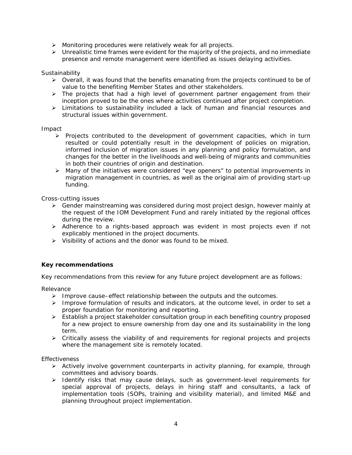- > Monitoring procedures were relatively weak for all projects.
- $\triangleright$  Unrealistic time frames were evident for the majority of the projects, and no immediate presence and remote management were identified as issues delaying activities.

## *Sustainability*

- $\triangleright$  Overall, it was found that the benefits emanating from the projects continued to be of value to the benefiting Member States and other stakeholders.
- > The projects that had a high level of government partner engagement from their inception proved to be the ones where activities continued after project completion.
- $\triangleright$  Limitations to sustainability included a lack of human and financial resources and structural issues within government.

#### *Impact*

- $\triangleright$  Projects contributed to the development of government capacities, which in turn resulted or could potentially result in the development of policies on migration, informed inclusion of migration issues in any planning and policy formulation, and changes for the better in the livelihoods and well-being of migrants and communities in both their countries of origin and destination.
- Many of the initiatives were considered "eye openers" to potential improvements in migration management in countries, as well as the original aim of providing start-up funding.

#### *Cross-cutting issues*

- Gender mainstreaming was considered during most project design, however mainly at the request of the IOM Development Fund and rarely initiated by the regional offices during the review.
- $\triangleright$  Adherence to a rights-based approach was evident in most projects even if not explicably mentioned in the project documents.
- $\triangleright$  Visibility of actions and the donor was found to be mixed.

## **Key recommendations**

Key recommendations from this review for any future project development are as follows:

*Relevance* 

- $\triangleright$  Improve cause–effect relationship between the outputs and the outcomes.
- $\triangleright$  Improve formulation of results and indicators, at the outcome level, in order to set a proper foundation for monitoring and reporting.
- $\triangleright$  Establish a project stakeholder consultation group in each benefiting country proposed for a new project to ensure ownership from day one and its sustainability in the long term.
- $\triangleright$  Critically assess the viability of and requirements for regional projects and projects where the management site is remotely located.

## *Effectiveness*

- $\triangleright$  Actively involve government counterparts in activity planning, for example, through committees and advisory boards.
- > Identify risks that may cause delays, such as government-level requirements for special approval of projects, delays in hiring staff and consultants, a lack of implementation tools (SOPs, training and visibility material), and limited M&E and planning throughout project implementation.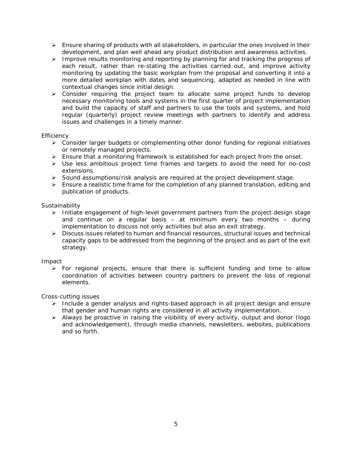- $\triangleright$  Ensure sharing of products with all stakeholders, in particular the ones involved in their development, and plan well ahead any product distribution and awareness activities.
- > Improve results monitoring and reporting by planning for and tracking the progress of each result, rather than re-stating the activities carried out, and improve activity monitoring by updating the basic workplan from the proposal and converting it into a more detailed workplan with dates and sequencing, adapted as needed in line with contextual changes since initial design.
- $\triangleright$  Consider requiring the project team to allocate some project funds to develop necessary monitoring tools and systems in the first quarter of project implementation and build the capacity of staff and partners to use the tools and systems, and hold regular (quarterly) project review meetings with partners to identify and address issues and challenges in a timely manner.

## *Efficiency*

- $\triangleright$  Consider larger budgets or complementing other donor funding for regional initiatives or remotely managed projects.
- $\triangleright$  Ensure that a monitoring framework is established for each project from the onset.
- $\triangleright$  Use less ambitious project time frames and targets to avoid the need for no-cost extensions.
- $\triangleright$  Sound assumptions/risk analysis are required at the project development stage.
- $\triangleright$  Ensure a realistic time frame for the completion of any planned translation, editing and publication of products.

## *Sustainability*

- $\triangleright$  Initiate engagement of high-level government partners from the project design stage and continue on a regular basis – at minimum every two months – during implementation to discuss not only activities but also an exit strategy.
- $\triangleright$  Discuss issues related to human and financial resources, structural issues and technical capacity gaps to be addressed from the beginning of the project and as part of the exit strategy.

## *Impact*

 $\triangleright$  For regional projects, ensure that there is sufficient funding and time to allow coordination of activities between country partners to prevent the loss of regional elements.

## *Cross-cutting issues*

- $\triangleright$  Include a gender analysis and rights-based approach in all project design and ensure that gender and human rights are considered in all activity implementation.
- $\triangleright$  Always be proactive in raising the visibility of every activity, output and donor (logo and acknowledgement), through media channels, newsletters, websites, publications and so forth.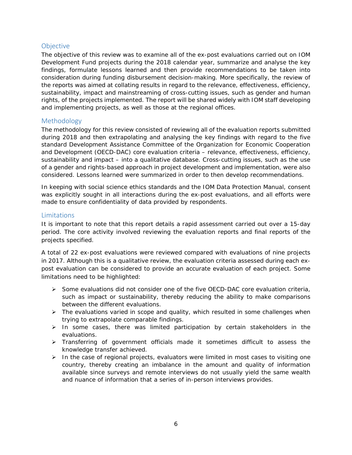## **Objective**

The objective of this review was to examine all of the ex-post evaluations carried out on IOM Development Fund projects during the 2018 calendar year, summarize and analyse the key findings, formulate lessons learned and then provide recommendations to be taken into consideration during funding disbursement decision-making. More specifically, the review of the reports was aimed at collating results in regard to the relevance, effectiveness, efficiency, sustainability, impact and mainstreaming of cross-cutting issues, such as gender and human rights, of the projects implemented. The report will be shared widely with IOM staff developing and implementing projects, as well as those at the regional offices.

## Methodology

The methodology for this review consisted of reviewing all of the evaluation reports submitted during 2018 and then extrapolating and analysing the key findings with regard to the five standard Development Assistance Committee of the Organization for Economic Cooperation and Development (OECD-DAC) core evaluation criteria – relevance, effectiveness, efficiency, sustainability and impact – into a qualitative database. Cross-cutting issues, such as the use of a gender and rights-based approach in project development and implementation, were also considered. Lessons learned were summarized in order to then develop recommendations.

In keeping with social science ethics standards and the *IOM Data Protection Manual*, consent was explicitly sought in all interactions during the ex-post evaluations, and all efforts were made to ensure confidentiality of data provided by respondents.

## Limitations

It is important to note that this report details a rapid assessment carried out over a 15-day period. The core activity involved reviewing the evaluation reports and final reports of the projects specified.

A total of 22 ex-post evaluations were reviewed compared with evaluations of nine projects in 2017. Although this is a qualitative review, the evaluation criteria assessed during each expost evaluation can be considered to provide an accurate evaluation of each project. Some limitations need to be highlighted:

- $\triangleright$  Some evaluations did not consider one of the five OECD-DAC core evaluation criteria, such as impact or sustainability, thereby reducing the ability to make comparisons between the different evaluations.
- > The evaluations varied in scope and quality, which resulted in some challenges when trying to extrapolate comparable findings.
- $\triangleright$  In some cases, there was limited participation by certain stakeholders in the evaluations.
- $\triangleright$  Transferring of government officials made it sometimes difficult to assess the knowledge transfer achieved.
- $\triangleright$  In the case of regional projects, evaluators were limited in most cases to visiting one country, thereby creating an imbalance in the amount and quality of information available since surveys and remote interviews do not usually yield the same wealth and nuance of information that a series of in-person interviews provides.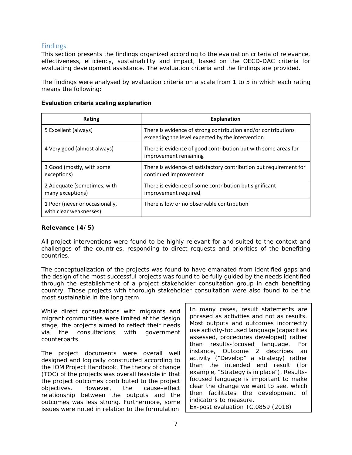## Findings

This section presents the findings organized according to the evaluation criteria of relevance, effectiveness, efficiency, sustainability and impact, based on the OECD-DAC criteria for evaluating development assistance. The evaluation criteria and the findings are provided.

The findings were analysed by evaluation criteria on a scale from 1 to 5 in which each rating means the following:

## **Evaluation criteria scaling explanation**

| Rating                                                   | <b>Explanation</b>                                                                                                |
|----------------------------------------------------------|-------------------------------------------------------------------------------------------------------------------|
| 5 Excellent (always)                                     | There is evidence of strong contribution and/or contributions<br>exceeding the level expected by the intervention |
| 4 Very good (almost always)                              | There is evidence of good contribution but with some areas for<br>improvement remaining                           |
| 3 Good (mostly, with some<br>exceptions)                 | There is evidence of satisfactory contribution but requirement for<br>continued improvement                       |
| 2 Adequate (sometimes, with<br>many exceptions)          | There is evidence of some contribution but significant<br>improvement required                                    |
| 1 Poor (never or occasionally,<br>with clear weaknesses) | There is low or no observable contribution                                                                        |

## **Relevance (4/5)**

All project interventions were found to be highly relevant for and suited to the context and challenges of the countries, responding to direct requests and priorities of the benefiting countries.

The conceptualization of the projects was found to have emanated from identified gaps and the design of the most successful projects was found to be fully guided by the needs identified through the establishment of a project stakeholder consultation group in each benefiting country. Those projects with thorough stakeholder consultation were also found to be the most sustainable in the long term.

While direct consultations with migrants and migrant communities were limited at the design stage, the projects aimed to reflect their needs via the consultations with government counterparts.

The project documents were overall well designed and logically constructed according to the *IOM Project Handbook*. The theory of change (TOC) of the projects was overall feasible in that the project outcomes contributed to the project objectives. However, the cause–effect relationship between the outputs and the outcomes was less strong. Furthermore, some issues were noted in relation to the formulation

*In many cases, result statements are phrased as activities and not as results. Most outputs and outcomes incorrectly use activity-focused language (capacities assessed, procedures developed) rather than results-focused language. For instance, Outcome 2 describes an activity ("Develop" a strategy) rather than the intended end result (for example, "Strategy is in place"). Resultsfocused language is important to make clear the change we want to see, which then facilitates the development of indicators to measure.*  Ex-post evaluation TC.0859 (2018)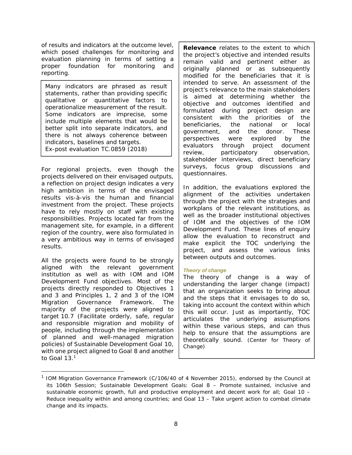of results and indicators at the outcome level, which posed challenges for monitoring and evaluation planning in terms of setting a proper foundation for monitoring and reporting.

*Many indicators are phrased as result statements, rather than providing specific qualitative or quantitative factors to operationalize measurement of the result. Some indicators are imprecise, some include multiple elements that would be better split into separate indicators, and there is not always coherence between indicators, baselines and targets.*  Ex-post evaluation TC.0859 (2018)

For regional projects, even though the projects delivered on their envisaged outputs, a reflection on project design indicates a very high ambition in terms of the envisaged results vis-à-vis the human and financial investment from the project. These projects have to rely mostly on staff with existing responsibilities. Projects located far from the management site, for example, in a different region of the country, were also formulated in a very ambitious way in terms of envisaged results.

All the projects were found to be strongly aligned with the relevant government institution as well as with IOM and IOM Development Fund objectives. Most of the projects directly responded to Objectives 1 and 3 and Principles 1, 2 and 3 of the IOM Migration Governance Framework. The majority of the projects were aligned to target 10.7 (Facilitate orderly, safe, regular and responsible migration and mobility of people, including through the implementation of planned and well-managed migration policies) of Sustainable Development Goal 10, with one project aligned to Goal 8 and another to Goal 13.<sup>1</sup>

*Relevance relates to the extent to which the project's objective and intended results remain valid and pertinent either as originally planned or as subsequently modified for the beneficiaries that it is intended to serve. An assessment of the project's relevance to the main stakeholders is aimed at determining whether the objective and outcomes identified and formulated during project design are consistent with the priorities of the beneficiaries, the national or local government, and the donor. These perspectives were explored by the evaluators through project document review, participatory observation, stakeholder interviews, direct beneficiary surveys, focus group discussions and questionnaires.* 

*In addition, the evaluations explored the alignment of the activities undertaken through the project with the strategies and workplans of the relevant institutions, as well as the broader institutional objectives of IOM and the objectives of the IOM Development Fund. These lines of enquiry allow the evaluation to reconstruct and make explicit the TOC underlying the project, and assess the various links between outputs and outcomes.* 

## *Theory of change*

*The theory of change is a way of understanding the larger change (impact) that an organization seeks to bring about and the steps that it envisages to do so, taking into account the context within which this will occur. Just as importantly, TOC articulates the underlying assumptions within these various steps, and can thus help to ensure that the assumptions are theoretically sound.* (Center for Theory of Change)

<sup>1</sup> IOM Migration Governance Framework (C/106/40 of 4 November 2015), endorsed by the Council at its 106th Session; Sustainable Development Goals: Goal 8 – Promote sustained, inclusive and sustainable economic growth, full and productive employment and decent work for all; Goal 10 – Reduce inequality within and among countries; and Goal 13 – Take urgent action to combat climate change and its impacts.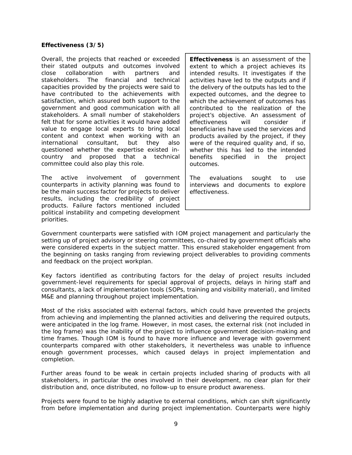#### **Effectiveness (3/5)**

Overall, the projects that reached or exceeded their stated outputs and outcomes involved close collaboration with partners and stakeholders. The financial and technical capacities provided by the projects were said to have contributed to the achievements with satisfaction, which assured both support to the government and good communication with all stakeholders. A small number of stakeholders felt that for some activities it would have added value to engage local experts to bring local content and context when working with an international consultant, but they also questioned whether the expertise existed incountry and proposed that a technical committee could also play this role.

The active involvement of government counterparts in activity planning was found to be the main success factor for projects to deliver results, including the credibility of project products. Failure factors mentioned included political instability and competing development priorities.

*Effectiveness is an assessment of the extent to which a project achieves its intended results. It investigates if the activities have led to the outputs and if the delivery of the outputs has led to the expected outcomes, and the degree to which the achievement of outcomes has contributed to the realization of the project's objective. An assessment of effectiveness will consider if beneficiaries have used the services and products availed by the project, if they were of the required quality and, if so, whether this has led to the intended benefits specified in the project outcomes.* 

*The evaluations sought to use interviews and documents to explore effectiveness.* 

Government counterparts were satisfied with IOM project management and particularly the setting up of project advisory or steering committees, co-chaired by government officials who were considered experts in the subject matter. This ensured stakeholder engagement from the beginning on tasks ranging from reviewing project deliverables to providing comments and feedback on the project workplan.

Key factors identified as contributing factors for the delay of project results included government-level requirements for special approval of projects, delays in hiring staff and consultants, a lack of implementation tools (SOPs, training and visibility material), and limited M&E and planning throughout project implementation.

Most of the risks associated with external factors, which could have prevented the projects from achieving and implementing the planned activities and delivering the required outputs, were anticipated in the log frame. However, in most cases, the external risk (not included in the log frame) was the inability of the project to influence government decision-making and time frames. Though IOM is found to have more influence and leverage with government counterparts compared with other stakeholders, it nevertheless was unable to influence enough government processes, which caused delays in project implementation and completion.

Further areas found to be weak in certain projects included sharing of products with all stakeholders, in particular the ones involved in their development, no clear plan for their distribution and, once distributed, no follow-up to ensure product awareness.

Projects were found to be highly adaptive to external conditions, which can shift significantly from before implementation and during project implementation. Counterparts were highly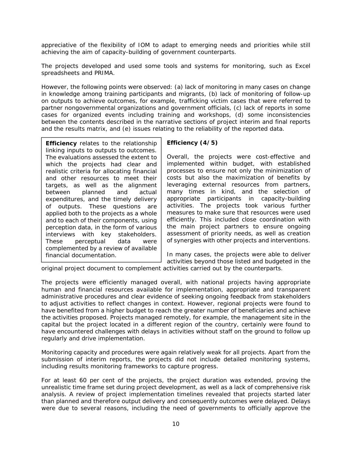appreciative of the flexibility of IOM to adapt to emerging needs and priorities while still achieving the aim of capacity-building of government counterparts.

The projects developed and used some tools and systems for monitoring, such as Excel spreadsheets and PRIMA.

However, the following points were observed: (a) lack of monitoring in many cases on change in knowledge among training participants and migrants, (b) lack of monitoring of follow-up on outputs to achieve outcomes, for example, trafficking victim cases that were referred to partner nongovernmental organizations and government officials, (c) lack of reports in some cases for organized events including training and workshops, (d) some inconsistencies between the contents described in the narrative sections of project interim and final reports and the results matrix, and (e) issues relating to the reliability of the reported data.

*Efficiency relates to the relationship linking inputs to outputs to outcomes. The evaluations assessed the extent to which the projects had clear and realistic criteria for allocating financial and other resources to meet their targets, as well as the alignment between planned and actual expenditures, and the timely delivery of outputs. These questions are applied both to the projects as a whole and to each of their components, using perception data, in the form of various interviews with key stakeholders. These perceptual data were complemented by a review of available financial documentation.* 

## **Efficiency (4/5)**

Overall, the projects were cost-effective and implemented within budget, with established processes to ensure not only the minimization of costs but also the maximization of benefits by leveraging external resources from partners, many times in kind, and the selection of appropriate participants in capacity-building activities. The projects took various further measures to make sure that resources were used efficiently. This included close coordination with the main project partners to ensure ongoing assessment of priority needs, as well as creation of synergies with other projects and interventions.

In many cases, the projects were able to deliver activities beyond those listed and budgeted in the

original project document to complement activities carried out by the counterparts.

The projects were efficiently managed overall, with national projects having appropriate human and financial resources available for implementation, appropriate and transparent administrative procedures and clear evidence of seeking ongoing feedback from stakeholders to adjust activities to reflect changes in context. However, regional projects were found to have benefited from a higher budget to reach the greater number of beneficiaries and achieve the activities proposed. Projects managed remotely, for example, the management site in the capital but the project located in a different region of the country, certainly were found to have encountered challenges with delays in activities without staff on the ground to follow up regularly and drive implementation.

Monitoring capacity and procedures were again relatively weak for all projects. Apart from the submission of interim reports, the projects did not include detailed monitoring systems, including results monitoring frameworks to capture progress.

For at least 60 per cent of the projects, the project duration was extended, proving the unrealistic time frame set during project development, as well as a lack of comprehensive risk analysis. A review of project implementation timelines revealed that projects started later than planned and therefore output delivery and consequently outcomes were delayed. Delays were due to several reasons, including the need of governments to officially approve the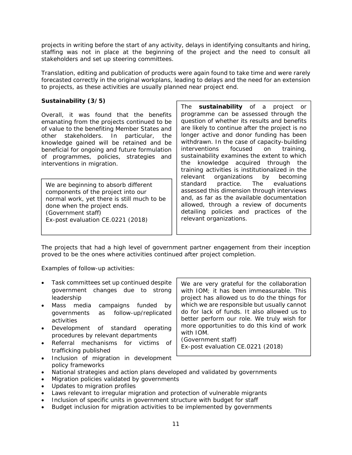projects in writing before the start of any activity, delays in identifying consultants and hiring, staffing was not in place at the beginning of the project and the need to consult all stakeholders and set up steering committees.

Translation, editing and publication of products were again found to take time and were rarely forecasted correctly in the original workplans, leading to delays and the need for an extension to projects, as these activities are usually planned near project end.

## **Sustainability (3/5)**

Overall, it was found that the benefits emanating from the projects continued to be of value to the benefiting Member States and other stakeholders. In particular, the knowledge gained will be retained and be beneficial for ongoing and future formulation of programmes, policies, strategies and interventions in migration.

*We are beginning to absorb different components of the project into our normal work, yet there is still much to be done when the project ends. (Government staff)*  Ex-post evaluation CE.0221 (2018)

*The sustainability of a project or programme can be assessed through the question of whether its results and benefits are likely to continue after the project is no longer active and donor funding has been withdrawn. In the case of capacity-building interventions focused on training, sustainability examines the extent to which the knowledge acquired through the training activities is institutionalized in the relevant organizations by becoming standard practice. The evaluations assessed this dimension through interviews and, as far as the available documentation allowed, through a review of documents detailing policies and practices of the relevant organizations.* 

The projects that had a high level of government partner engagement from their inception proved to be the ones where activities continued after project completion.

Examples of follow-up activities:

- Task committees set up continued despite government changes due to strong leadership
- Mass media campaigns funded by governments as follow-up/replicated activities
- Development of standard operating procedures by relevant departments
- Referral mechanisms for victims of trafficking published
- Inclusion of migration in development policy frameworks

*We are very grateful for the collaboration with IOM; it has been immeasurable. This project has allowed us to do the things for which we are responsible but usually cannot do for lack of funds. It also allowed us to better perform our role. We truly wish for more opportunities to do this kind of work with IOM. (Government staff)* 

Ex-post evaluation CE.0221 (2018)

- National strategies and action plans developed and validated by governments
- Migration policies validated by governments
- Updates to migration profiles
- Laws relevant to irregular migration and protection of vulnerable migrants
- Inclusion of specific units in government structure with budget for staff
- Budget inclusion for migration activities to be implemented by governments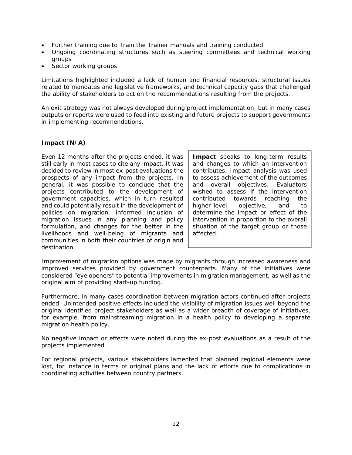- Further training due to Train the Trainer manuals and training conducted
- Ongoing coordinating structures such as steering committees and technical working groups
- Sector working groups

Limitations highlighted included a lack of human and financial resources, structural issues related to mandates and legislative frameworks, and technical capacity gaps that challenged the ability of stakeholders to act on the recommendations resulting from the projects.

An exit strategy was not always developed during project implementation, but in many cases outputs or reports were used to feed into existing and future projects to support governments in implementing recommendations.

## **Impact (N/A)**

Even 12 months after the projects ended, it was still early in most cases to cite any impact. It was decided to review in most ex-post evaluations the prospects of any impact from the projects. In general, it was possible to conclude that the projects contributed to the development of government capacities, which in turn resulted and could potentially result in the development of policies on migration, informed inclusion of migration issues in any planning and policy formulation, and changes for the better in the livelihoods and well-being of migrants and communities in both their countries of origin and destination.

*Impact speaks to long-term results and changes to which an intervention contributes. Impact analysis was used to assess achievement of the outcomes and overall objectives. Evaluators wished to assess if the intervention contributed towards reaching the higher-level objective, and to determine the impact or effect of the intervention in proportion to the overall situation of the target group or those affected.* 

Improvement of migration options was made by migrants through increased awareness and improved services provided by government counterparts. Many of the initiatives were considered "eye openers" to potential improvements in migration management, as well as the original aim of providing start-up funding.

Furthermore, in many cases coordination between migration actors continued after projects ended. Unintended positive effects included the visibility of migration issues well beyond the original identified project stakeholders as well as a wider breadth of coverage of initiatives, for example, from mainstreaming migration in a health policy to developing a separate migration health policy.

No negative impact or effects were noted during the ex-post evaluations as a result of the projects implemented.

For regional projects, various stakeholders lamented that planned regional elements were lost, for instance in terms of original plans and the lack of efforts due to complications in coordinating activities between country partners.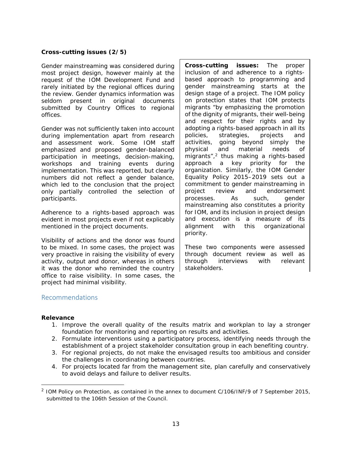## **Cross-cutting issues (2/5)**

Gender mainstreaming was considered during most project design, however mainly at the request of the IOM Development Fund and rarely initiated by the regional offices during the review. Gender dynamics information was seldom present in original documents submitted by Country Offices to regional offices.

Gender was not sufficiently taken into account during implementation apart from research and assessment work. Some IOM staff emphasized and proposed gender-balanced participation in meetings, decision-making, workshops and training events during implementation. This was reported, but clearly numbers did not reflect a gender balance, which led to the conclusion that the project only partially controlled the selection of participants.

Adherence to a rights-based approach was evident in most projects even if not explicably mentioned in the project documents.

Visibility of actions and the donor was found to be mixed. In some cases, the project was very proactive in raising the visibility of every activity, output and donor, whereas in others it was the donor who reminded the country office to raise visibility. In some cases, the project had minimal visibility.

*Cross-cutting issues: The proper inclusion of and adherence to a rightsbased approach to programming and gender mainstreaming starts at the design stage of a project. The IOM policy on protection states that IOM protects migrants "by emphasizing the promotion of the dignity of migrants, their well-being and respect for their rights and by adopting a rights-based approach in all its policies, strategies, projects and activities, going beyond simply the physical and material needs of migrants",2 thus making a rights-based approach a key priority for the organization. Similarly, the IOM Gender Equality Policy 2015–2019 sets out a commitment to gender mainstreaming in project review and endorsement processes. As such, gender mainstreaming also constitutes a priority for IOM, and its inclusion in project design and execution is a measure of its alignment with this organizational priority.* 

*These two components were assessed through document review as well as through interviews with relevant stakeholders.* 

## Recommendations

## **Relevance**

-

- 1. Improve the overall quality of the results matrix and workplan to lay a stronger foundation for monitoring and reporting on results and activities.
- 2. Formulate interventions using a participatory process, identifying needs through the establishment of a project stakeholder consultation group in each benefiting country.
- 3. For regional projects, do not make the envisaged results too ambitious and consider the challenges in coordinating between countries.
- 4. For projects located far from the management site, plan carefully and conservatively to avoid delays and failure to deliver results.

 $2$  IOM Policy on Protection, as contained in the annex to document C/106/INF/9 of 7 September 2015, submitted to the 106th Session of the Council.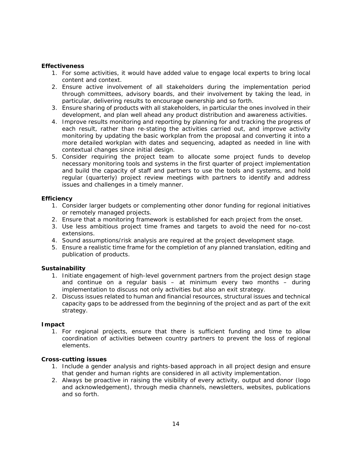## **Effectiveness**

- 1. For some activities, it would have added value to engage local experts to bring local content and context.
- 2. Ensure active involvement of all stakeholders during the implementation period through committees, advisory boards, and their involvement by taking the lead, in particular, delivering results to encourage ownership and so forth.
- 3. Ensure sharing of products with all stakeholders, in particular the ones involved in their development, and plan well ahead any product distribution and awareness activities.
- 4. Improve results monitoring and reporting by planning for and tracking the progress of each result, rather than re-stating the activities carried out, and improve activity monitoring by updating the basic workplan from the proposal and converting it into a more detailed workplan with dates and sequencing, adapted as needed in line with contextual changes since initial design.
- 5. Consider requiring the project team to allocate some project funds to develop necessary monitoring tools and systems in the first quarter of project implementation and build the capacity of staff and partners to use the tools and systems, and hold regular (quarterly) project review meetings with partners to identify and address issues and challenges in a timely manner.

#### **Efficiency**

- 1. Consider larger budgets or complementing other donor funding for regional initiatives or remotely managed projects.
- 2. Ensure that a monitoring framework is established for each project from the onset.
- 3. Use less ambitious project time frames and targets to avoid the need for no-cost extensions.
- 4. Sound assumptions/risk analysis are required at the project development stage.
- 5. Ensure a realistic time frame for the completion of any planned translation, editing and publication of products.

## **Sustainability**

- 1. Initiate engagement of high-level government partners from the project design stage and continue on a regular basis – at minimum every two months – during implementation to discuss not only activities but also an exit strategy.
- 2. Discuss issues related to human and financial resources, structural issues and technical capacity gaps to be addressed from the beginning of the project and as part of the exit strategy.

#### **Impact**

1. For regional projects, ensure that there is sufficient funding and time to allow coordination of activities between country partners to prevent the loss of regional elements.

## **Cross-cutting issues**

- 1. Include a gender analysis and rights-based approach in all project design and ensure that gender and human rights are considered in all activity implementation.
- 2. Always be proactive in raising the visibility of every activity, output and donor (logo and acknowledgement), through media channels, newsletters, websites, publications and so forth.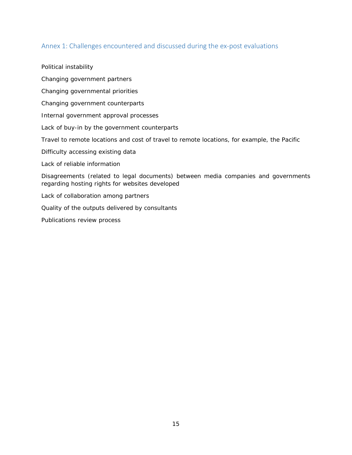## Annex 1: Challenges encountered and discussed during the ex‐post evaluations

Political instability

Changing government partners

Changing governmental priorities

Changing government counterparts

Internal government approval processes

Lack of buy-in by the government counterparts

Travel to remote locations and cost of travel to remote locations, for example, the Pacific

Difficulty accessing existing data

Lack of reliable information

Disagreements (related to legal documents) between media companies and governments regarding hosting rights for websites developed

Lack of collaboration among partners

Quality of the outputs delivered by consultants

Publications review process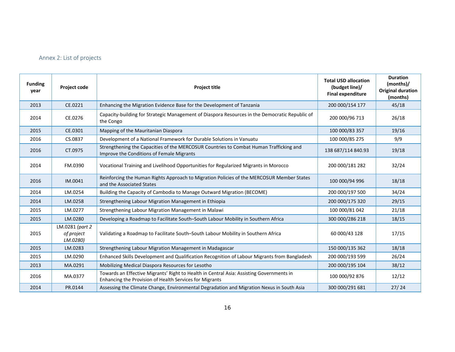## Annex 2: List of projects

| <b>Funding</b><br>year | <b>Project code</b>                       | <b>Project title</b>                                                                                                                                | <b>Total USD allocation</b><br>(budget line)/<br><b>Final expenditure</b> | <b>Duration</b><br>(months)/<br><b>Original duration</b><br>(months) |
|------------------------|-------------------------------------------|-----------------------------------------------------------------------------------------------------------------------------------------------------|---------------------------------------------------------------------------|----------------------------------------------------------------------|
| 2013                   | CE.0221                                   | Enhancing the Migration Evidence Base for the Development of Tanzania                                                                               | 200 000/154 177                                                           | 45/18                                                                |
| 2014                   | CE.0276                                   | Capacity-building for Strategic Management of Diaspora Resources in the Democratic Republic of<br>the Congo                                         | 200 000/96 713                                                            | 26/18                                                                |
| 2015                   | CE.0301                                   | Mapping of the Mauritanian Diaspora                                                                                                                 | 100 000/83 357                                                            | 19/16                                                                |
| 2016                   | CS.0837                                   | Development of a National Framework for Durable Solutions in Vanuatu                                                                                | 100 000/85 275                                                            | 9/9                                                                  |
| 2016                   | CT.0975                                   | Strengthening the Capacities of the MERCOSUR Countries to Combat Human Trafficking and<br>Improve the Conditions of Female Migrants                 | 138 687/114 840.93                                                        | 19/18                                                                |
| 2014                   | FM.0390                                   | Vocational Training and Livelihood Opportunities for Regularized Migrants in Morocco                                                                | 200 000/181 282                                                           | 32/24                                                                |
| 2016                   | IM.0041                                   | Reinforcing the Human Rights Approach to Migration Policies of the MERCOSUR Member States<br>and the Associated States                              | 100 000/94 996                                                            | 18/18                                                                |
| 2014                   | LM.0254                                   | Building the Capacity of Cambodia to Manage Outward Migration (BECOME)                                                                              | 200 000/197 500                                                           | 34/24                                                                |
| 2014                   | LM.0258                                   | Strengthening Labour Migration Management in Ethiopia                                                                                               | 200 000/175 320                                                           | 29/15                                                                |
| 2015                   | LM.0277                                   | Strengthening Labour Migration Management in Malawi                                                                                                 | 100 000/81 042                                                            | 21/18                                                                |
| 2015                   | LM.0280                                   | Developing a Roadmap to Facilitate South-South Labour Mobility in Southern Africa                                                                   | 300 000/286 218                                                           | 18/15                                                                |
| 2015                   | LM.0281 (part 2<br>of project<br>LM.0280) | Validating a Roadmap to Facilitate South-South Labour Mobility in Southern Africa                                                                   | 60 000/43 128                                                             | 17/15                                                                |
| 2015                   | LM.0283                                   | Strengthening Labour Migration Management in Madagascar                                                                                             | 150 000/135 362                                                           | 18/18                                                                |
| 2015                   | LM.0290                                   | Enhanced Skills Development and Qualification Recognition of Labour Migrants from Bangladesh                                                        | 200 000/193 599                                                           | 26/24                                                                |
| 2013                   | MA.0291                                   | Mobilizing Medical Diaspora Resources for Lesotho                                                                                                   | 200 000/195 104                                                           | 38/12                                                                |
| 2016                   | MA.0377                                   | Towards an Effective Migrants' Right to Health in Central Asia: Assisting Governments in<br>Enhancing the Provision of Health Services for Migrants | 100 000/92 876                                                            | 12/12                                                                |
| 2014                   | PR.0144                                   | Assessing the Climate Change, Environmental Degradation and Migration Nexus in South Asia                                                           | 300 000/291 681                                                           | 27/24                                                                |